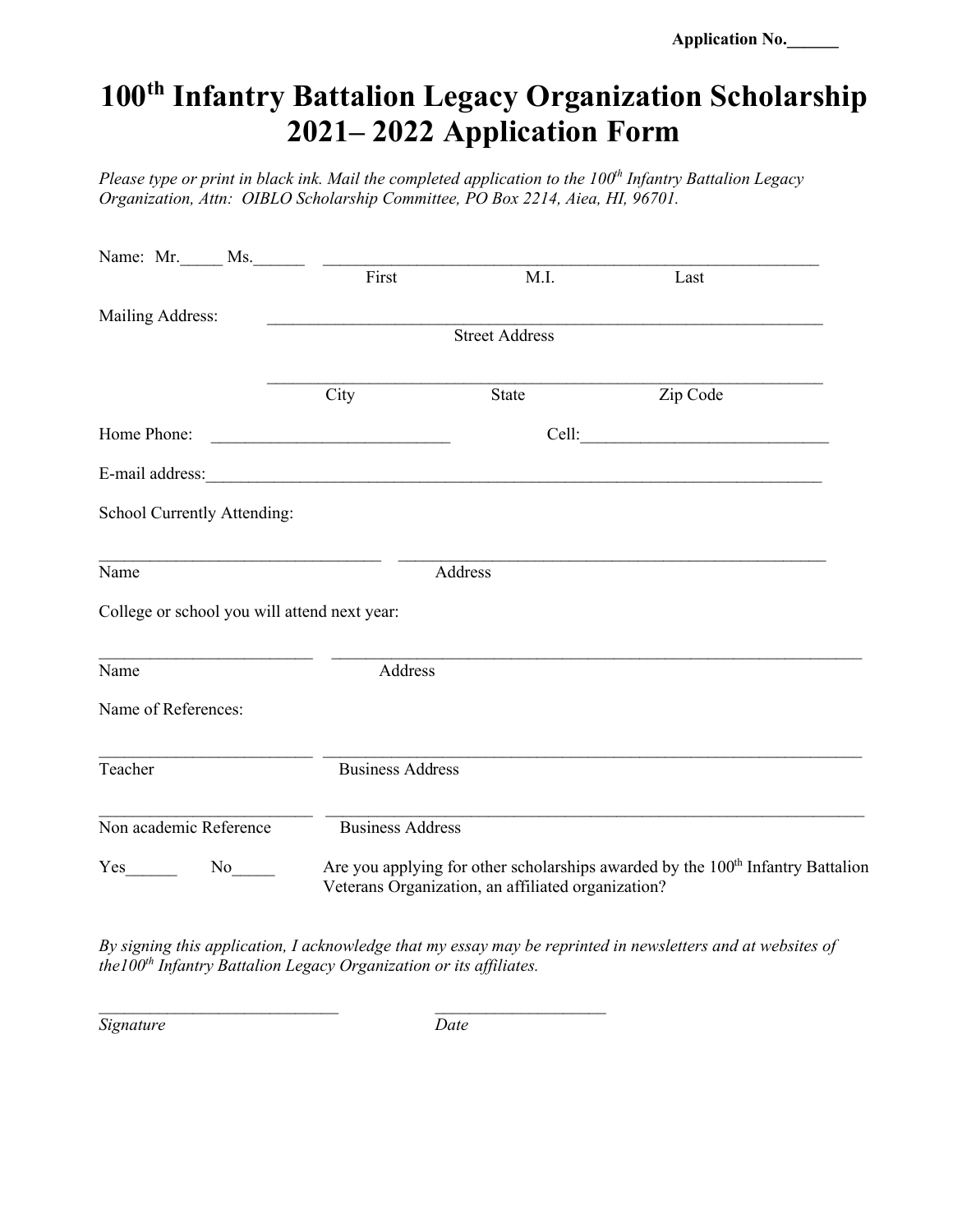**Application No.\_\_\_\_\_\_**

## **100th Infantry Battalion Legacy Organization Scholarship 2021– 2022 Application Form**

*Please type or print in black ink. Mail the completed application to the 100<sup>th</sup> Infantry Battalion Legacy Organization, Attn: OIBLO Scholarship Committee, PO Box 2214, Aiea, HI, 96701.*

|                                              | First                 | M.I.                                                                                                                                              | Last     |  |  |  |
|----------------------------------------------|-----------------------|---------------------------------------------------------------------------------------------------------------------------------------------------|----------|--|--|--|
| Mailing Address:                             |                       |                                                                                                                                                   |          |  |  |  |
|                                              | <b>Street Address</b> |                                                                                                                                                   |          |  |  |  |
|                                              | City                  | State                                                                                                                                             | Zip Code |  |  |  |
| Home Phone:                                  |                       |                                                                                                                                                   |          |  |  |  |
|                                              |                       |                                                                                                                                                   |          |  |  |  |
| School Currently Attending:                  |                       |                                                                                                                                                   |          |  |  |  |
| Name                                         | Address               |                                                                                                                                                   |          |  |  |  |
| College or school you will attend next year: |                       |                                                                                                                                                   |          |  |  |  |
| Name                                         | Address               |                                                                                                                                                   |          |  |  |  |
| Name of References:                          |                       |                                                                                                                                                   |          |  |  |  |
| Teacher                                      |                       | <b>Business Address</b>                                                                                                                           |          |  |  |  |
| Non academic Reference                       |                       | <b>Business Address</b>                                                                                                                           |          |  |  |  |
| $No$ <sub>_____</sub>                        |                       | Are you applying for other scholarships awarded by the 100 <sup>th</sup> Infantry Battalion<br>Veterans Organization, an affiliated organization? |          |  |  |  |

*By signing this application, I acknowledge that my essay may be reprinted in newsletters and at websites of the100th Infantry Battalion Legacy Organization or its affiliates.*

*Signature Date*

*\_\_\_\_\_\_\_\_\_\_\_\_\_\_\_\_\_\_\_\_\_\_\_\_\_\_\_\_ \_\_\_\_\_\_\_\_\_\_\_\_\_\_\_\_\_\_\_\_*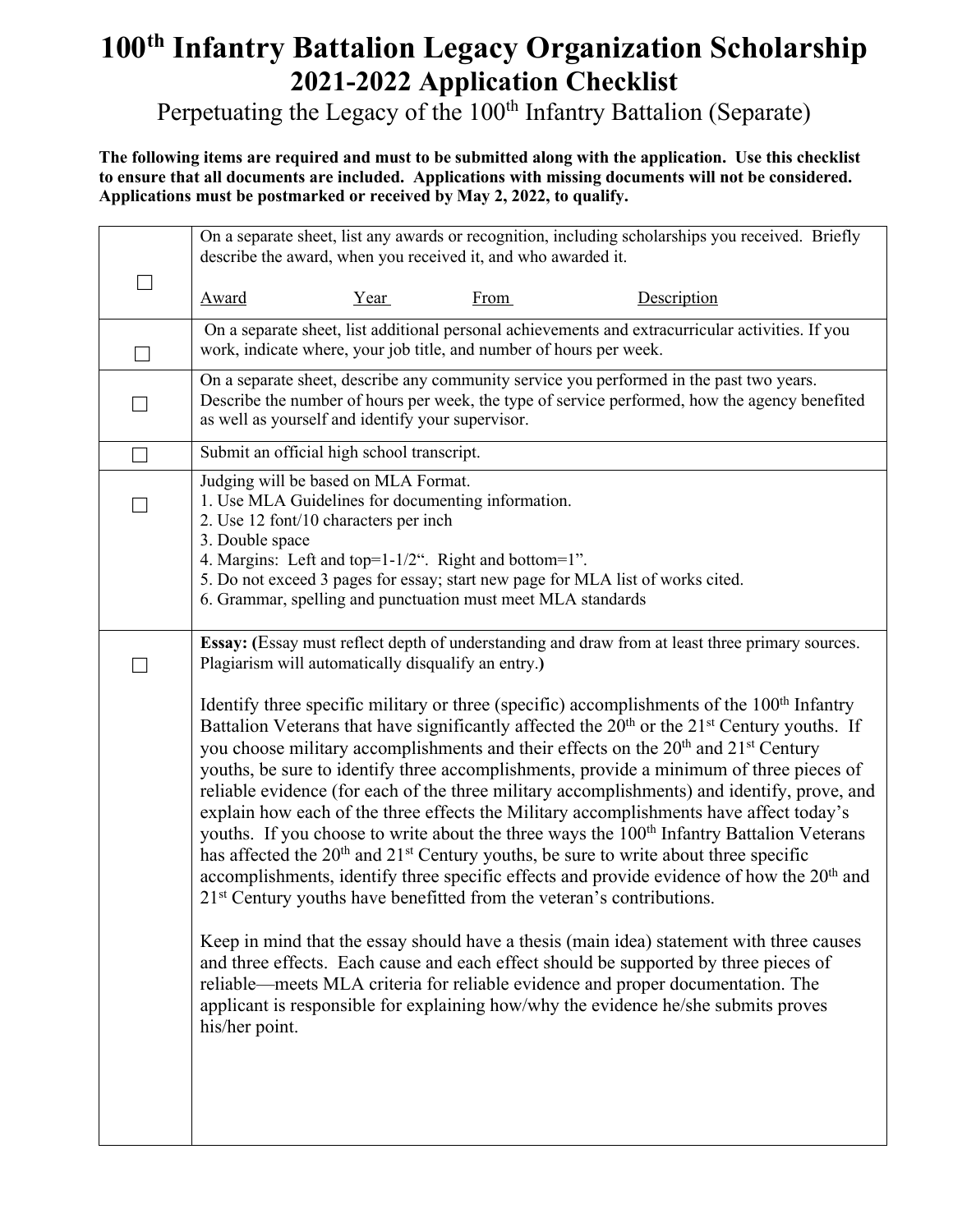## **100th Infantry Battalion Legacy Organization Scholarship 2021-2022 Application Checklist**

Perpetuating the Legacy of the 100<sup>th</sup> Infantry Battalion (Separate)

**The following items are required and must to be submitted along with the application. Use this checklist to ensure that all documents are included. Applications with missing documents will not be considered. Applications must be postmarked or received by May 2, 2022, to qualify.**

|                          | On a separate sheet, list any awards or recognition, including scholarships you received. Briefly<br>describe the award, when you received it, and who awarded it.                                                                              |                                                                                                                                     |             |                                                                                                                                                                                                                                                                                                                                                                                                                                                                                                                                                                                                                                                                                                                                                                                                                                                                                                                                                                                                                                                                                                                                                                                                                                                                                                                                                                                                           |  |  |  |
|--------------------------|-------------------------------------------------------------------------------------------------------------------------------------------------------------------------------------------------------------------------------------------------|-------------------------------------------------------------------------------------------------------------------------------------|-------------|-----------------------------------------------------------------------------------------------------------------------------------------------------------------------------------------------------------------------------------------------------------------------------------------------------------------------------------------------------------------------------------------------------------------------------------------------------------------------------------------------------------------------------------------------------------------------------------------------------------------------------------------------------------------------------------------------------------------------------------------------------------------------------------------------------------------------------------------------------------------------------------------------------------------------------------------------------------------------------------------------------------------------------------------------------------------------------------------------------------------------------------------------------------------------------------------------------------------------------------------------------------------------------------------------------------------------------------------------------------------------------------------------------------|--|--|--|
| $\overline{\phantom{0}}$ | <b>Award</b>                                                                                                                                                                                                                                    | Year                                                                                                                                | <b>From</b> | Description                                                                                                                                                                                                                                                                                                                                                                                                                                                                                                                                                                                                                                                                                                                                                                                                                                                                                                                                                                                                                                                                                                                                                                                                                                                                                                                                                                                               |  |  |  |
| $\overline{\phantom{a}}$ | On a separate sheet, list additional personal achievements and extracurricular activities. If you<br>work, indicate where, your job title, and number of hours per week.                                                                        |                                                                                                                                     |             |                                                                                                                                                                                                                                                                                                                                                                                                                                                                                                                                                                                                                                                                                                                                                                                                                                                                                                                                                                                                                                                                                                                                                                                                                                                                                                                                                                                                           |  |  |  |
| $\Box$                   | On a separate sheet, describe any community service you performed in the past two years.<br>Describe the number of hours per week, the type of service performed, how the agency benefited<br>as well as yourself and identify your supervisor. |                                                                                                                                     |             |                                                                                                                                                                                                                                                                                                                                                                                                                                                                                                                                                                                                                                                                                                                                                                                                                                                                                                                                                                                                                                                                                                                                                                                                                                                                                                                                                                                                           |  |  |  |
| $\Box$                   | Submit an official high school transcript.                                                                                                                                                                                                      |                                                                                                                                     |             |                                                                                                                                                                                                                                                                                                                                                                                                                                                                                                                                                                                                                                                                                                                                                                                                                                                                                                                                                                                                                                                                                                                                                                                                                                                                                                                                                                                                           |  |  |  |
|                          | 3. Double space                                                                                                                                                                                                                                 | Judging will be based on MLA Format.<br>1. Use MLA Guidelines for documenting information.<br>2. Use 12 font/10 characters per inch |             |                                                                                                                                                                                                                                                                                                                                                                                                                                                                                                                                                                                                                                                                                                                                                                                                                                                                                                                                                                                                                                                                                                                                                                                                                                                                                                                                                                                                           |  |  |  |
|                          |                                                                                                                                                                                                                                                 | 4. Margins: Left and top=1-1/2". Right and bottom=1".<br>6. Grammar, spelling and punctuation must meet MLA standards               |             | 5. Do not exceed 3 pages for essay; start new page for MLA list of works cited.                                                                                                                                                                                                                                                                                                                                                                                                                                                                                                                                                                                                                                                                                                                                                                                                                                                                                                                                                                                                                                                                                                                                                                                                                                                                                                                           |  |  |  |
|                          |                                                                                                                                                                                                                                                 | Plagiarism will automatically disqualify an entry.)                                                                                 |             | Essay: (Essay must reflect depth of understanding and draw from at least three primary sources.                                                                                                                                                                                                                                                                                                                                                                                                                                                                                                                                                                                                                                                                                                                                                                                                                                                                                                                                                                                                                                                                                                                                                                                                                                                                                                           |  |  |  |
|                          | his/her point.                                                                                                                                                                                                                                  |                                                                                                                                     |             | Identify three specific military or three (specific) accomplishments of the $100th$ Infantry<br>Battalion Veterans that have significantly affected the 20 <sup>th</sup> or the 21 <sup>st</sup> Century youths. If<br>you choose military accomplishments and their effects on the 20 <sup>th</sup> and 21 <sup>st</sup> Century<br>youths, be sure to identify three accomplishments, provide a minimum of three pieces of<br>reliable evidence (for each of the three military accomplishments) and identify, prove, and<br>explain how each of the three effects the Military accomplishments have affect today's<br>youths. If you choose to write about the three ways the 100 <sup>th</sup> Infantry Battalion Veterans<br>has affected the 20 <sup>th</sup> and 21 <sup>st</sup> Century youths, be sure to write about three specific<br>accomplishments, identify three specific effects and provide evidence of how the 20 <sup>th</sup> and<br>21 <sup>st</sup> Century youths have benefitted from the veteran's contributions.<br>Keep in mind that the essay should have a thesis (main idea) statement with three causes<br>and three effects. Each cause and each effect should be supported by three pieces of<br>reliable—meets MLA criteria for reliable evidence and proper documentation. The<br>applicant is responsible for explaining how/why the evidence he/she submits proves |  |  |  |
|                          |                                                                                                                                                                                                                                                 |                                                                                                                                     |             |                                                                                                                                                                                                                                                                                                                                                                                                                                                                                                                                                                                                                                                                                                                                                                                                                                                                                                                                                                                                                                                                                                                                                                                                                                                                                                                                                                                                           |  |  |  |